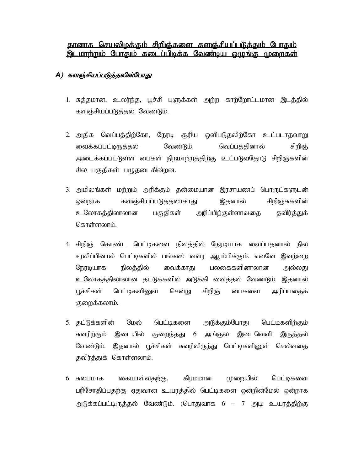## தானாக செயலிழக்கும் சிறிஞ்களை களஞ்சியப்படுத்தும் போதும் இடமாற்றும் போதும் கடைப்பிடிக்க வேண்டிய ஒழுங்கு முறைகள்

## A) களஞ்சியப்படுத்தலின்போது

- 1. சுத்தமான, உலர்ந்த, பூச்சி புளுக்கள் அற்ற காற்றோட்டமான இடத்தில் களஞ்சியப்படுத்தல் வேண்டும்.
- 2. அதிக வெப்பத்திற்கோ, நேரடி சூரிய ஒளிபடுதலிற்கோ உட்படாதவாறு வைக்கப்பட்டிருத்தல் வேண்டும். வெப்பத்தினால் சிறிஞ் அடைக்கப்பட்டுள்ள பைகள் நிறமாற்றத்திற்கு உட்படுவதோடு சிறிஞ்களின் சில பகுதிகள் பழுதடைகின்றன.
- 3. அமிலங்கள் மற்றும் அரிக்கும் தன்மையான இரசாயணப் பொருட்களுடன் களஞ்சியப்படுத்தலாகாது. இதனால் சிறிஞ்சுகளின் ஒன்றாக உலோகத்திலாலான பகுதிகள் அரிப்பிற்குள்ளாவதை தவிர்த்துக் கொள்ளலாம்.
- 4. சிறிஞ் கொண்ட பெட்டிகளை நிலத்தில் நேரடியாக வைப்பதனால் நில ஈரலிப்பினால் பெட்டிகளில் பங்கஸ் வளர ஆரம்பிக்கும். எனவே இவற்றை நேரடியாக நிலத்தில் வைக்காது பலகைகளினாலான அல்லது உலோகத்திலாலான தட்டுக்களில் அடுக்கி வைத்தல் வேண்டும். இதனால் சென்று பூச்சிகள் பெட்டிகளினுள் சிறிஞ் பைகளை அரிப்பகைக் குறைக்கலாம்.
- 5. தட்டுக்களின் மேல் பெட்டிகளை அடுக்கும்போது பெட்டிகளிற்கும் இடையில் குறைந்தது 6 இடைவெளி சுவரிற்கும் அங்குல இருத்தல் வேண்டும். இதனால் பூச்சிகள் சுவரிலிருந்து பெட்டிகளினுள் செல்வதை தவிர்த்துக் கொள்ளலாம்.
- 6. சுலபமாக கையாள்வதற்கு, கிரமமான முறையில் பெட்டிகளை பரிசோதிப்பதற்கு ஏதுவான உயரத்தில் பெட்டிகளை ஒன்றின்மேல் ஒன்றாக அடுக்கப்பட்டிருத்தல் வேண்டும். (பொதுவாக 6 – 7 அடி உயரத்திற்கு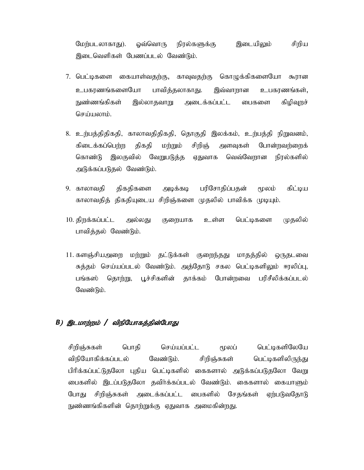ஒவ்வொரு இடையிலும் சிறிய மேற்படலாகாது). நிரல்களுக்கு இடைவெளிகள் பேணப்படல் வேண்டும்.

- கொழுக்கிகளையோ 7. பெட்டிகளை கையாள்வதற்கு, காவுவதற்கு கூரான உபகாணங்களையோ பாவித்தலாகாது. இவ்வாறான உபகாணங்கள், நுண்ணங்கிகள் இல்லாதவாறு அடைக்கப்பட்ட பைகளை கிழிவுறச் செய்யலாம்.
- 8. உற்பத்திதிகதி, காலாவதிதிகதி, தொகுதி இலக்கம், உற்பத்தி நிறுவனம், கிடைக்கப்பெற்ற திகதி சிறிஞ் போன்றவற்றைக் மற்றும் அளவுகள் கொண்டு இலகுவில் வேறுபடுத்த வெவ்வேறான நிரல்களில் ஏதுவாக அடுக்கப்படுதல் வேண்டும்.
- பரிசோதிப்பதன் 9. காலாவகி திகதிகளை அடிக்கடி மூலம் கிட்டிய காலாவதித் திகதியுடைய சிறிஞ்களை முதலில் பாவிக்க முடியும்.
- 10. திறக்கப்பட்ட பெட்டிகளை முகலில் அல்லது குறையாக உள்ள பாவித்தல் வேண்டும்.
- 11. களஞ்சியஅறை மற்றும் தட்டுக்கள் குறைந்தது மாதத்தில் ஒருதடவை சுத்தம் செய்யப்படல் வேண்டும். அத்தோடு சகல பெட்டிகளிலும் ஈரலிப்பு, பங்கஸ் தொற்று, பூச்சிகளின் தாக்கம் போன்றவை பரிசீலிக்கப்படல் வேண்டும்.

## B) இடமாற்றம் / விநியோகத்தின்போது

சிறிஞ்சுகள் பொகி செய்யப்பட்ட மூலப் பெட்டிகளிலேயே விநியோகிக்கப்படல் வேண்டும். சிறிஞ்சுகள் பெட்டிகளிலிருந்து பிரிக்கப்பட்டுதலோ புதிய பெட்டிகளில் கைகளால் அடுக்கப்படுதலோ வேறு பைகளில் இடப்படுதலோ தவிர்க்கப்படல் வேண்டும். கைகளால் கையாளும் போது சிறிஞ்சுகள் அடைக்கப்பட்ட பைகளில் சேதங்கள் ஏற்படுவதோடு நுண்ணங்கிகளின் தொற்றுக்கு ஏதுவாக அமைகின்றது.